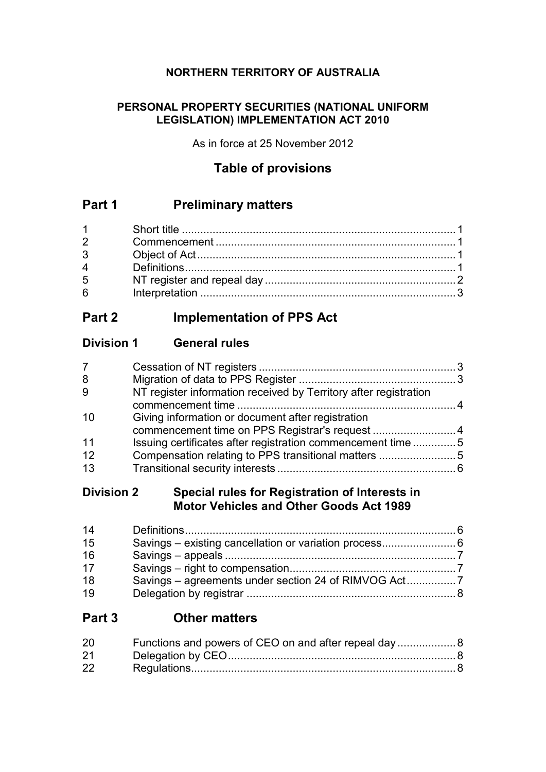## **NORTHERN TERRITORY OF AUSTRALIA**

### **PERSONAL PROPERTY SECURITIES (NATIONAL UNIFORM LEGISLATION) IMPLEMENTATION ACT 2010**

As in force at 25 November 2012

## **Table of provisions**

## **Part 1 Preliminary matters**

| $1 \quad \blacksquare$ |  |
|------------------------|--|
| $2^{\sim}$             |  |
| $3^{\circ}$            |  |
|                        |  |
| 5 <sup>5</sup>         |  |
| $6\overline{6}$        |  |

## **Part 2 Implementation of PPS Act**

## **Division 1 General rules**

| 7  |                                                                  |  |
|----|------------------------------------------------------------------|--|
| 8  |                                                                  |  |
| 9  | NT register information received by Territory after registration |  |
|    |                                                                  |  |
| 10 | Giving information or document after registration                |  |
|    | commencement time on PPS Registrar's request 4                   |  |
| 11 | Issuing certificates after registration commencement time5       |  |
| 12 | Compensation relating to PPS transitional matters 5              |  |
| 13 |                                                                  |  |
|    |                                                                  |  |

## **Division 2 Special rules for Registration of Interests in Motor Vehicles and Other Goods Act 1989**

| 14 |  |
|----|--|
| 15 |  |
| 16 |  |
| 17 |  |
| 18 |  |
| 19 |  |

## **Part 3 Other matters**

| 20 |  |
|----|--|
| 21 |  |
| 22 |  |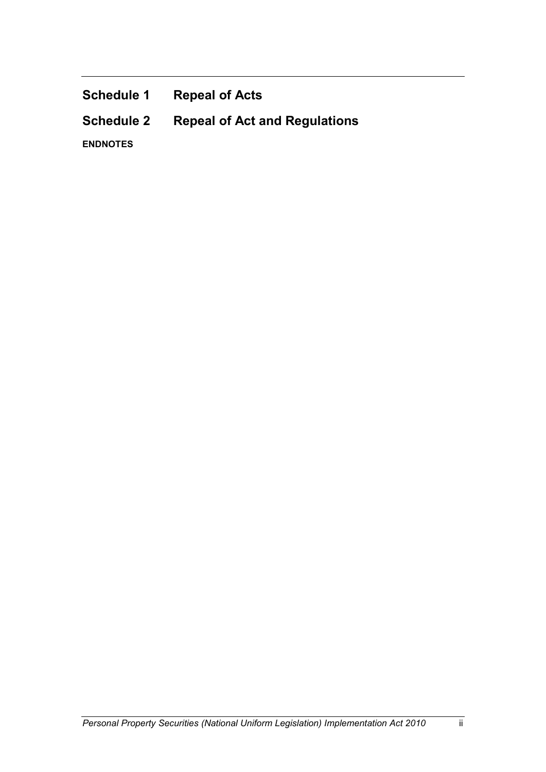| <b>Schedule 1</b> | <b>Repeal of Acts</b>                |
|-------------------|--------------------------------------|
| <b>Schedule 2</b> | <b>Repeal of Act and Regulations</b> |
| <b>ENDNOTES</b>   |                                      |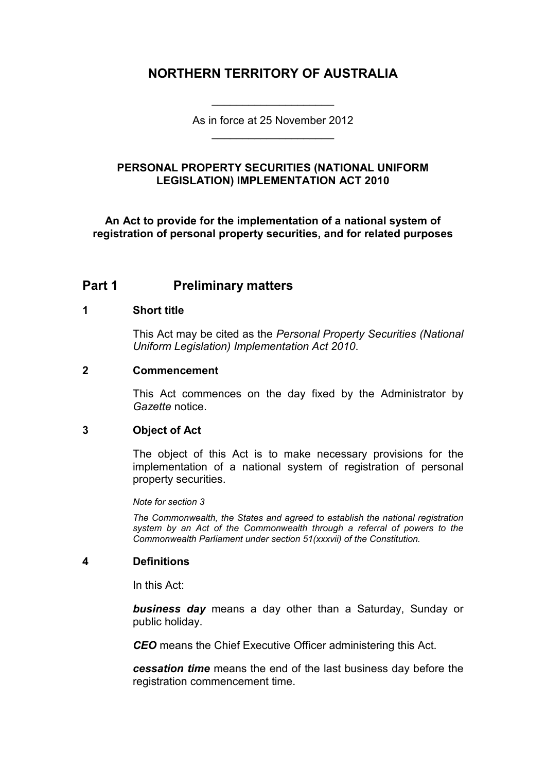## **NORTHERN TERRITORY OF AUSTRALIA**

As in force at 25 November 2012 \_\_\_\_\_\_\_\_\_\_\_\_\_\_\_\_\_\_\_\_

\_\_\_\_\_\_\_\_\_\_\_\_\_\_\_\_\_\_\_\_

#### **PERSONAL PROPERTY SECURITIES (NATIONAL UNIFORM LEGISLATION) IMPLEMENTATION ACT 2010**

**An Act to provide for the implementation of a national system of registration of personal property securities, and for related purposes**

## **Part 1 Preliminary matters**

#### **1 Short title**

This Act may be cited as the *Personal Property Securities (National Uniform Legislation) Implementation Act 2010*.

#### **2 Commencement**

This Act commences on the day fixed by the Administrator by *Gazette* notice.

#### **3 Object of Act**

The object of this Act is to make necessary provisions for the implementation of a national system of registration of personal property securities.

*Note for section 3*

*The Commonwealth, the States and agreed to establish the national registration system by an Act of the Commonwealth through a referral of powers to the Commonwealth Parliament under section 51(xxxvii) of the Constitution.*

#### **4 Definitions**

In this Act:

*business day* means a day other than a Saturday, Sunday or public holiday.

*CEO* means the Chief Executive Officer administering this Act.

*cessation time* means the end of the last business day before the registration commencement time.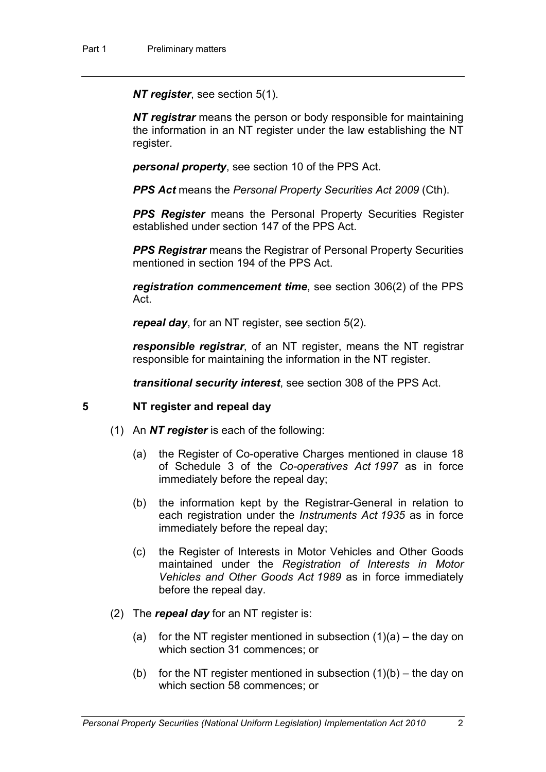*NT register*, see section 5(1).

*NT registrar* means the person or body responsible for maintaining the information in an NT register under the law establishing the NT register.

*personal property*, see section 10 of the PPS Act.

*PPS Act* means the *Personal Property Securities Act 2009* (Cth).

**PPS Register** means the Personal Property Securities Register established under section 147 of the PPS Act.

**PPS Registrar** means the Registrar of Personal Property Securities mentioned in section 194 of the PPS Act.

*registration commencement time*, see section 306(2) of the PPS Act.

*repeal day*, for an NT register, see section 5(2).

*responsible registrar*, of an NT register, means the NT registrar responsible for maintaining the information in the NT register.

*transitional security interest*, see section 308 of the PPS Act.

#### **5 NT register and repeal day**

- (1) An *NT register* is each of the following:
	- (a) the Register of Co-operative Charges mentioned in clause 18 of Schedule 3 of the *Co-operatives Act 1997* as in force immediately before the repeal day;
	- (b) the information kept by the Registrar-General in relation to each registration under the *Instruments Act 1935* as in force immediately before the repeal day;
	- (c) the Register of Interests in Motor Vehicles and Other Goods maintained under the *Registration of Interests in Motor Vehicles and Other Goods Act 1989* as in force immediately before the repeal day.
- (2) The *repeal day* for an NT register is:
	- (a) for the NT register mentioned in subsection  $(1)(a)$  the day on which section 31 commences; or
	- (b) for the NT register mentioned in subsection  $(1)(b)$  the day on which section 58 commences; or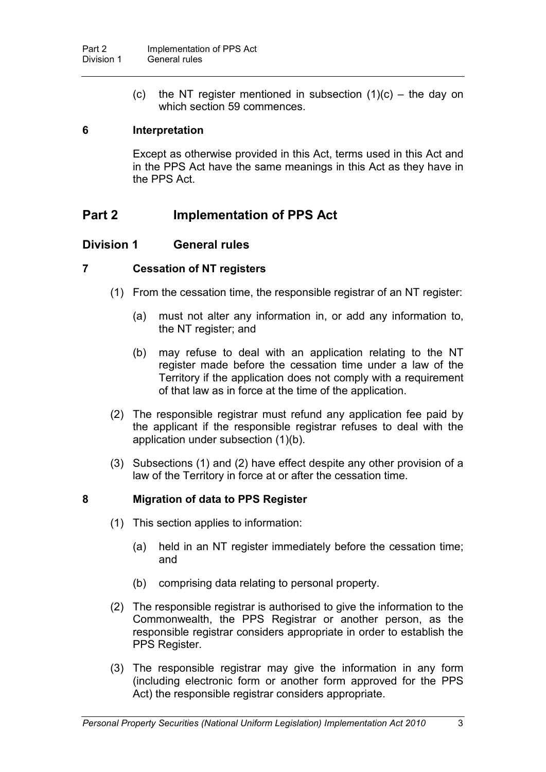(c) the NT register mentioned in subsection  $(1)(c)$  – the day on which section 59 commences.

#### **6 Interpretation**

Except as otherwise provided in this Act, terms used in this Act and in the PPS Act have the same meanings in this Act as they have in the PPS Act.

## **Part 2 Implementation of PPS Act**

### **Division 1 General rules**

#### **7 Cessation of NT registers**

- (1) From the cessation time, the responsible registrar of an NT register:
	- (a) must not alter any information in, or add any information to, the NT register; and
	- (b) may refuse to deal with an application relating to the NT register made before the cessation time under a law of the Territory if the application does not comply with a requirement of that law as in force at the time of the application.
- (2) The responsible registrar must refund any application fee paid by the applicant if the responsible registrar refuses to deal with the application under subsection (1)(b).
- (3) Subsections (1) and (2) have effect despite any other provision of a law of the Territory in force at or after the cessation time.

### **8 Migration of data to PPS Register**

- (1) This section applies to information:
	- (a) held in an NT register immediately before the cessation time; and
	- (b) comprising data relating to personal property.
- (2) The responsible registrar is authorised to give the information to the Commonwealth, the PPS Registrar or another person, as the responsible registrar considers appropriate in order to establish the PPS Register.
- (3) The responsible registrar may give the information in any form (including electronic form or another form approved for the PPS Act) the responsible registrar considers appropriate.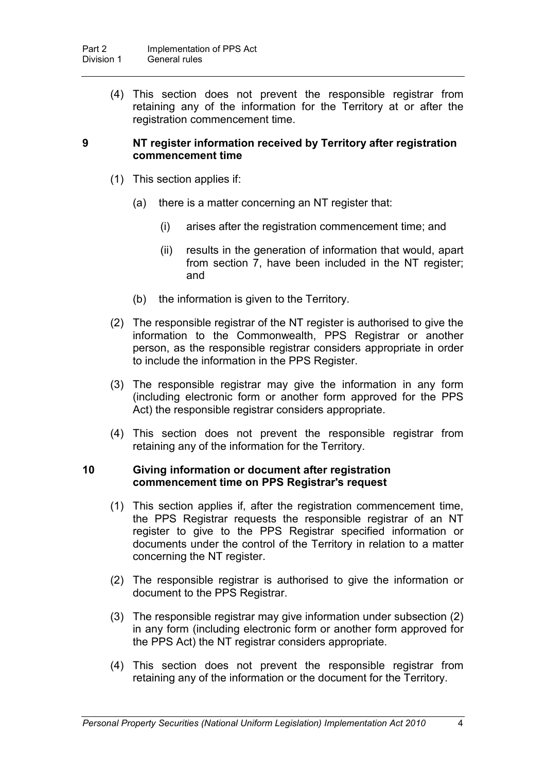(4) This section does not prevent the responsible registrar from retaining any of the information for the Territory at or after the registration commencement time.

#### **9 NT register information received by Territory after registration commencement time**

- (1) This section applies if:
	- (a) there is a matter concerning an NT register that:
		- (i) arises after the registration commencement time; and
		- (ii) results in the generation of information that would, apart from section 7, have been included in the NT register; and
	- (b) the information is given to the Territory.
- (2) The responsible registrar of the NT register is authorised to give the information to the Commonwealth, PPS Registrar or another person, as the responsible registrar considers appropriate in order to include the information in the PPS Register.
- (3) The responsible registrar may give the information in any form (including electronic form or another form approved for the PPS Act) the responsible registrar considers appropriate.
- (4) This section does not prevent the responsible registrar from retaining any of the information for the Territory.

#### **10 Giving information or document after registration commencement time on PPS Registrar's request**

- (1) This section applies if, after the registration commencement time, the PPS Registrar requests the responsible registrar of an NT register to give to the PPS Registrar specified information or documents under the control of the Territory in relation to a matter concerning the NT register.
- (2) The responsible registrar is authorised to give the information or document to the PPS Registrar.
- (3) The responsible registrar may give information under subsection (2) in any form (including electronic form or another form approved for the PPS Act) the NT registrar considers appropriate.
- (4) This section does not prevent the responsible registrar from retaining any of the information or the document for the Territory.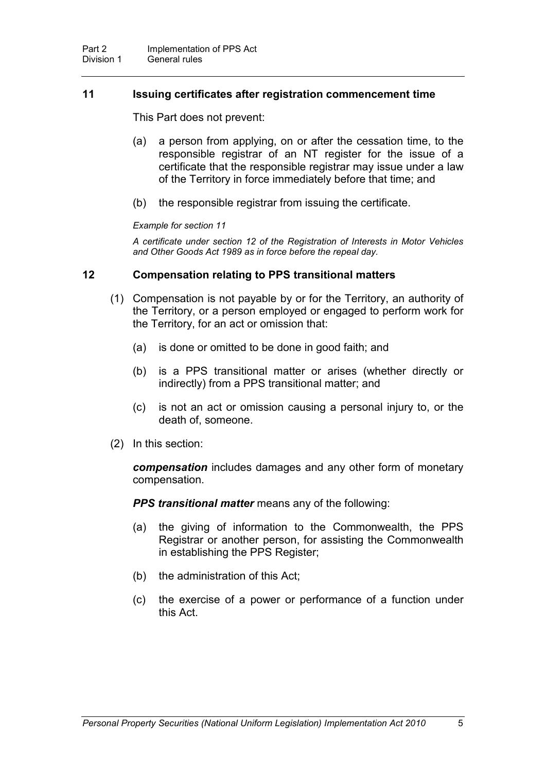#### **11 Issuing certificates after registration commencement time**

This Part does not prevent:

- (a) a person from applying, on or after the cessation time, to the responsible registrar of an NT register for the issue of a certificate that the responsible registrar may issue under a law of the Territory in force immediately before that time; and
- (b) the responsible registrar from issuing the certificate.

#### *Example for section 11*

*A certificate under section 12 of the Registration of Interests in Motor Vehicles and Other Goods Act 1989 as in force before the repeal day.*

#### **12 Compensation relating to PPS transitional matters**

- (1) Compensation is not payable by or for the Territory, an authority of the Territory, or a person employed or engaged to perform work for the Territory, for an act or omission that:
	- (a) is done or omitted to be done in good faith; and
	- (b) is a PPS transitional matter or arises (whether directly or indirectly) from a PPS transitional matter; and
	- (c) is not an act or omission causing a personal injury to, or the death of, someone.
- (2) In this section:

*compensation* includes damages and any other form of monetary compensation.

*PPS transitional matter* means any of the following:

- (a) the giving of information to the Commonwealth, the PPS Registrar or another person, for assisting the Commonwealth in establishing the PPS Register;
- (b) the administration of this Act;
- (c) the exercise of a power or performance of a function under this Act.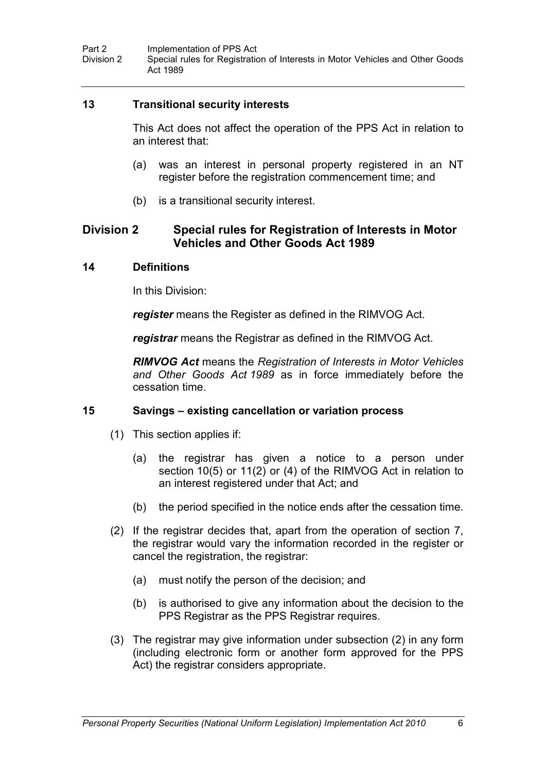#### **13 Transitional security interests**

This Act does not affect the operation of the PPS Act in relation to an interest that:

- (a) was an interest in personal property registered in an NT register before the registration commencement time; and
- (b) is a transitional security interest.

## **Division 2 Special rules for Registration of Interests in Motor Vehicles and Other Goods Act 1989**

#### **14 Definitions**

In this Division:

*register* means the Register as defined in the RIMVOG Act.

*registrar* means the Registrar as defined in the RIMVOG Act.

*RIMVOG Act* means the *Registration of Interests in Motor Vehicles and Other Goods Act 1989* as in force immediately before the cessation time.

### **15 Savings – existing cancellation or variation process**

- (1) This section applies if:
	- (a) the registrar has given a notice to a person under section 10(5) or 11(2) or (4) of the RIMVOG Act in relation to an interest registered under that Act; and
	- (b) the period specified in the notice ends after the cessation time.
- (2) If the registrar decides that, apart from the operation of section 7, the registrar would vary the information recorded in the register or cancel the registration, the registrar:
	- (a) must notify the person of the decision; and
	- (b) is authorised to give any information about the decision to the PPS Registrar as the PPS Registrar requires.
- (3) The registrar may give information under subsection (2) in any form (including electronic form or another form approved for the PPS Act) the registrar considers appropriate.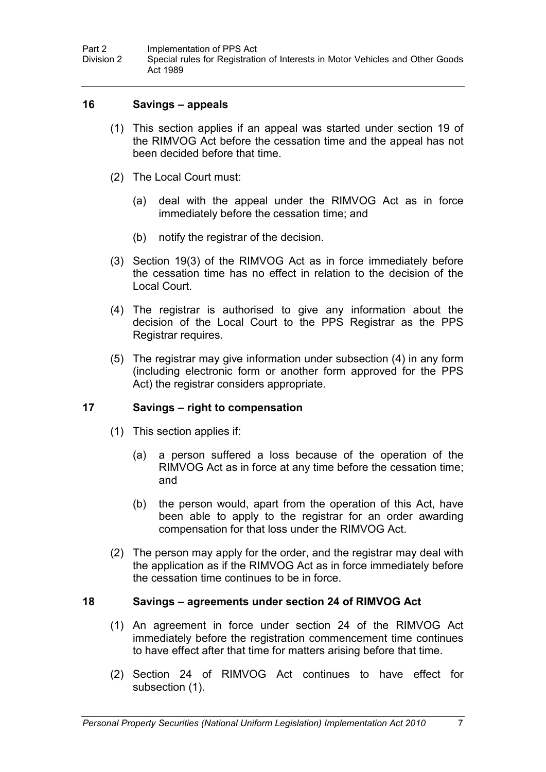#### **16 Savings – appeals**

- (1) This section applies if an appeal was started under section 19 of the RIMVOG Act before the cessation time and the appeal has not been decided before that time.
- (2) The Local Court must:
	- (a) deal with the appeal under the RIMVOG Act as in force immediately before the cessation time; and
	- (b) notify the registrar of the decision.
- (3) Section 19(3) of the RIMVOG Act as in force immediately before the cessation time has no effect in relation to the decision of the Local Court.
- (4) The registrar is authorised to give any information about the decision of the Local Court to the PPS Registrar as the PPS Registrar requires.
- (5) The registrar may give information under subsection (4) in any form (including electronic form or another form approved for the PPS Act) the registrar considers appropriate.

#### **17 Savings – right to compensation**

- (1) This section applies if:
	- (a) a person suffered a loss because of the operation of the RIMVOG Act as in force at any time before the cessation time; and
	- (b) the person would, apart from the operation of this Act, have been able to apply to the registrar for an order awarding compensation for that loss under the RIMVOG Act.
- (2) The person may apply for the order, and the registrar may deal with the application as if the RIMVOG Act as in force immediately before the cessation time continues to be in force.

#### **18 Savings – agreements under section 24 of RIMVOG Act**

- (1) An agreement in force under section 24 of the RIMVOG Act immediately before the registration commencement time continues to have effect after that time for matters arising before that time.
- (2) Section 24 of RIMVOG Act continues to have effect for subsection (1).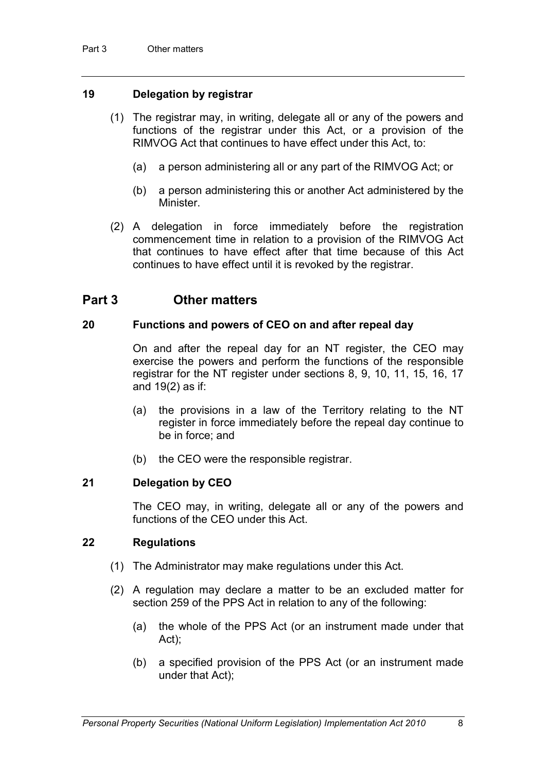#### **19 Delegation by registrar**

- (1) The registrar may, in writing, delegate all or any of the powers and functions of the registrar under this Act, or a provision of the RIMVOG Act that continues to have effect under this Act, to:
	- (a) a person administering all or any part of the RIMVOG Act; or
	- (b) a person administering this or another Act administered by the Minister.
- (2) A delegation in force immediately before the registration commencement time in relation to a provision of the RIMVOG Act that continues to have effect after that time because of this Act continues to have effect until it is revoked by the registrar.

## **Part 3 Other matters**

#### **20 Functions and powers of CEO on and after repeal day**

On and after the repeal day for an NT register, the CEO may exercise the powers and perform the functions of the responsible registrar for the NT register under sections 8, 9, 10, 11, 15, 16, 17 and 19(2) as if:

- (a) the provisions in a law of the Territory relating to the NT register in force immediately before the repeal day continue to be in force; and
- (b) the CEO were the responsible registrar.

#### **21 Delegation by CEO**

The CEO may, in writing, delegate all or any of the powers and functions of the CEO under this Act.

#### **22 Regulations**

- (1) The Administrator may make regulations under this Act.
- (2) A regulation may declare a matter to be an excluded matter for section 259 of the PPS Act in relation to any of the following:
	- (a) the whole of the PPS Act (or an instrument made under that Act);
	- (b) a specified provision of the PPS Act (or an instrument made under that Act);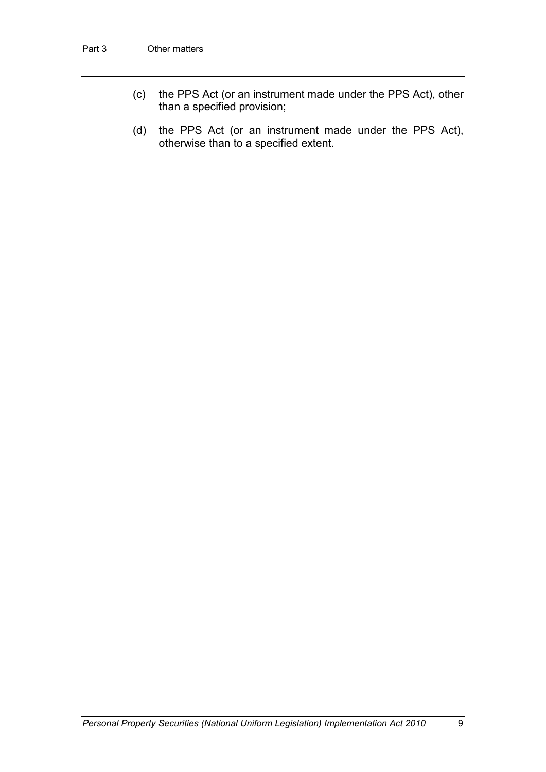- (c) the PPS Act (or an instrument made under the PPS Act), other than a specified provision;
- (d) the PPS Act (or an instrument made under the PPS Act), otherwise than to a specified extent.

*Personal Property Securities (National Uniform Legislation) Implementation Act 2010* 9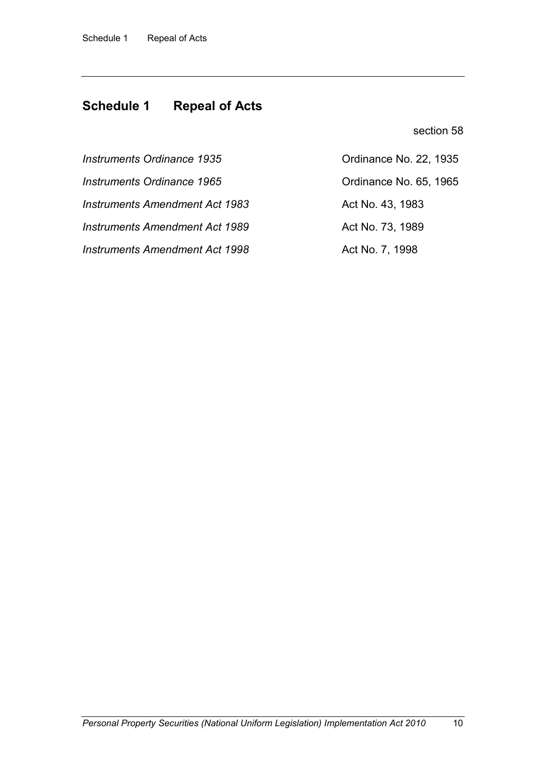## **Schedule 1 Repeal of Acts**

section 58

*Instruments Amendment Act 1983* Act No. 43, 1983

*Instruments Amendment Act 1989* Act No. 73, 1989

*Instruments Amendment Act 1998* Act No. 7, 1998

*Instruments Ordinance 1935* Ordinance No. 22, 1935 *Instruments Ordinance 1965* Ordinance No. 65, 1965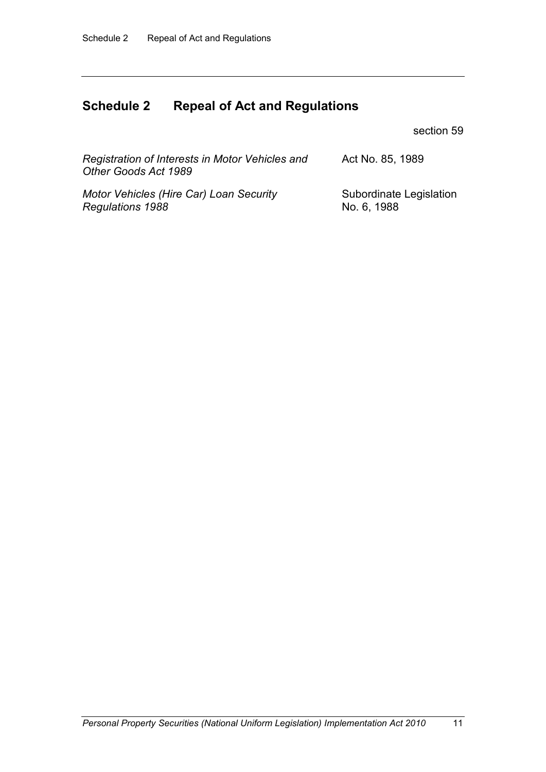*Regulations 1988*

# **Schedule 2 Repeal of Act and Regulations**

section 59

No. 6, 1988

| Registration of Interests in Motor Vehicles and<br>Other Goods Act 1989 | Act No. 85, 1989        |
|-------------------------------------------------------------------------|-------------------------|
| Motor Vehicles (Hire Car) Loan Security                                 | Subordinate Legislation |